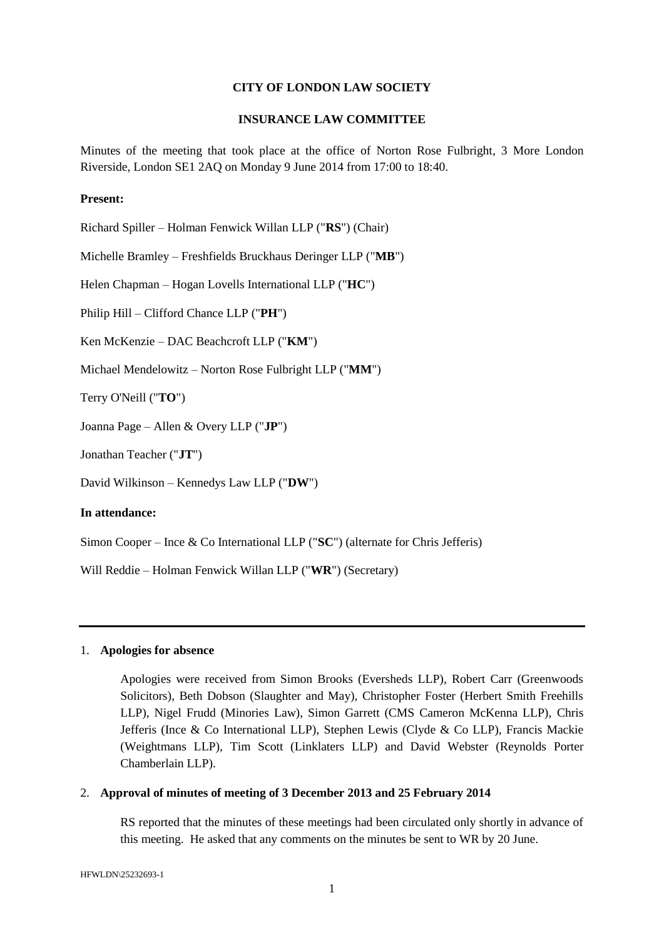#### **CITY OF LONDON LAW SOCIETY**

#### **INSURANCE LAW COMMITTEE**

Minutes of the meeting that took place at the office of Norton Rose Fulbright, 3 More London Riverside, London SE1 2AQ on Monday 9 June 2014 from 17:00 to 18:40.

#### **Present:**

Richard Spiller – Holman Fenwick Willan LLP ("**RS**") (Chair) Michelle Bramley – Freshfields Bruckhaus Deringer LLP ("**MB**") Helen Chapman – Hogan Lovells International LLP ("**HC**") Philip Hill – Clifford Chance LLP ("**PH**") Ken McKenzie – DAC Beachcroft LLP ("**KM**") Michael Mendelowitz – Norton Rose Fulbright LLP ("**MM**") Terry O'Neill ("**TO**") Joanna Page – Allen & Overy LLP ("**JP**") Jonathan Teacher ("**JT**") David Wilkinson – Kennedys Law LLP ("**DW**") **In attendance:**

Simon Cooper – Ince & Co International LLP ("**SC**") (alternate for Chris Jefferis)

Will Reddie – Holman Fenwick Willan LLP ("**WR**") (Secretary)

#### 1. **Apologies for absence**

Apologies were received from Simon Brooks (Eversheds LLP), Robert Carr (Greenwoods Solicitors), Beth Dobson (Slaughter and May), Christopher Foster (Herbert Smith Freehills LLP), Nigel Frudd (Minories Law), Simon Garrett (CMS Cameron McKenna LLP), Chris Jefferis (Ince & Co International LLP), Stephen Lewis (Clyde & Co LLP), Francis Mackie (Weightmans LLP), Tim Scott (Linklaters LLP) and David Webster (Reynolds Porter Chamberlain LLP).

### 2. **Approval of minutes of meeting of 3 December 2013 and 25 February 2014**

RS reported that the minutes of these meetings had been circulated only shortly in advance of this meeting. He asked that any comments on the minutes be sent to WR by 20 June.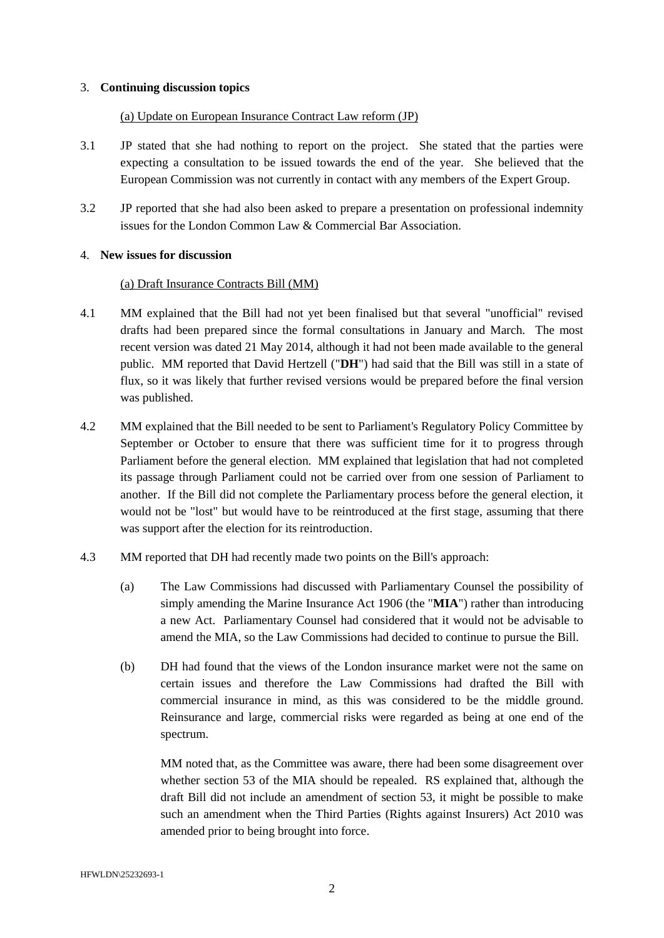## 3. **Continuing discussion topics**

# (a) Update on European Insurance Contract Law reform (JP)

- 3.1 JP stated that she had nothing to report on the project. She stated that the parties were expecting a consultation to be issued towards the end of the year. She believed that the European Commission was not currently in contact with any members of the Expert Group.
- 3.2 JP reported that she had also been asked to prepare a presentation on professional indemnity issues for the London Common Law & Commercial Bar Association.

## 4. **New issues for discussion**

# (a) Draft Insurance Contracts Bill (MM)

- 4.1 MM explained that the Bill had not yet been finalised but that several "unofficial" revised drafts had been prepared since the formal consultations in January and March. The most recent version was dated 21 May 2014, although it had not been made available to the general public. MM reported that David Hertzell ("**DH**") had said that the Bill was still in a state of flux, so it was likely that further revised versions would be prepared before the final version was published.
- 4.2 MM explained that the Bill needed to be sent to Parliament's Regulatory Policy Committee by September or October to ensure that there was sufficient time for it to progress through Parliament before the general election. MM explained that legislation that had not completed its passage through Parliament could not be carried over from one session of Parliament to another. If the Bill did not complete the Parliamentary process before the general election, it would not be "lost" but would have to be reintroduced at the first stage, assuming that there was support after the election for its reintroduction.
- 4.3 MM reported that DH had recently made two points on the Bill's approach:
	- (a) The Law Commissions had discussed with Parliamentary Counsel the possibility of simply amending the Marine Insurance Act 1906 (the "**MIA**") rather than introducing a new Act. Parliamentary Counsel had considered that it would not be advisable to amend the MIA, so the Law Commissions had decided to continue to pursue the Bill.
	- (b) DH had found that the views of the London insurance market were not the same on certain issues and therefore the Law Commissions had drafted the Bill with commercial insurance in mind, as this was considered to be the middle ground. Reinsurance and large, commercial risks were regarded as being at one end of the spectrum.

MM noted that, as the Committee was aware, there had been some disagreement over whether section 53 of the MIA should be repealed. RS explained that, although the draft Bill did not include an amendment of section 53, it might be possible to make such an amendment when the Third Parties (Rights against Insurers) Act 2010 was amended prior to being brought into force.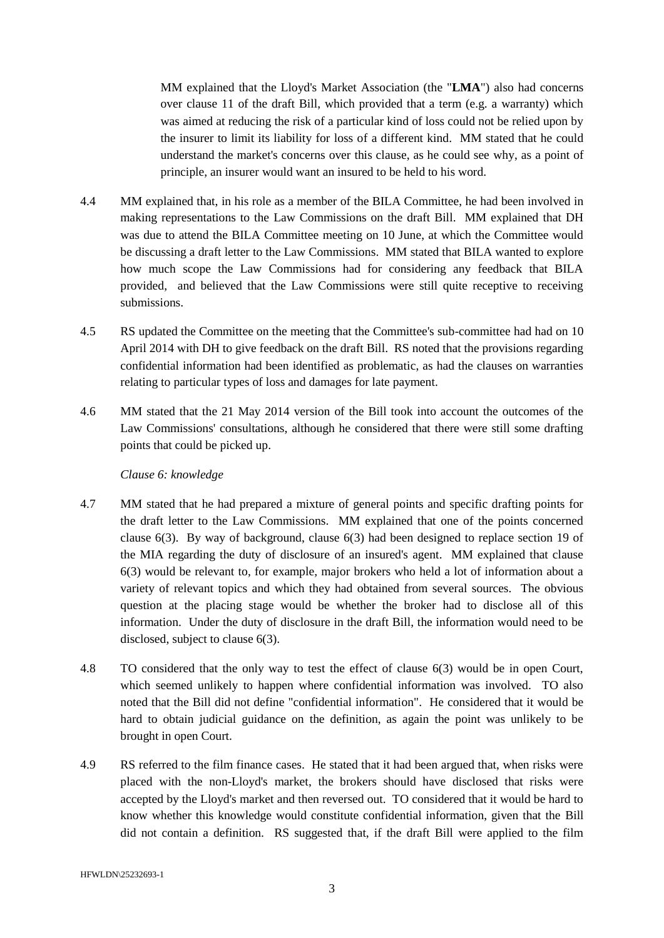MM explained that the Lloyd's Market Association (the "**LMA**") also had concerns over clause 11 of the draft Bill, which provided that a term (e.g. a warranty) which was aimed at reducing the risk of a particular kind of loss could not be relied upon by the insurer to limit its liability for loss of a different kind. MM stated that he could understand the market's concerns over this clause, as he could see why, as a point of principle, an insurer would want an insured to be held to his word.

- 4.4 MM explained that, in his role as a member of the BILA Committee, he had been involved in making representations to the Law Commissions on the draft Bill. MM explained that DH was due to attend the BILA Committee meeting on 10 June, at which the Committee would be discussing a draft letter to the Law Commissions. MM stated that BILA wanted to explore how much scope the Law Commissions had for considering any feedback that BILA provided, and believed that the Law Commissions were still quite receptive to receiving submissions.
- 4.5 RS updated the Committee on the meeting that the Committee's sub-committee had had on 10 April 2014 with DH to give feedback on the draft Bill. RS noted that the provisions regarding confidential information had been identified as problematic, as had the clauses on warranties relating to particular types of loss and damages for late payment.
- 4.6 MM stated that the 21 May 2014 version of the Bill took into account the outcomes of the Law Commissions' consultations, although he considered that there were still some drafting points that could be picked up.

# *Clause 6: knowledge*

- 4.7 MM stated that he had prepared a mixture of general points and specific drafting points for the draft letter to the Law Commissions. MM explained that one of the points concerned clause 6(3). By way of background, clause 6(3) had been designed to replace section 19 of the MIA regarding the duty of disclosure of an insured's agent. MM explained that clause 6(3) would be relevant to, for example, major brokers who held a lot of information about a variety of relevant topics and which they had obtained from several sources. The obvious question at the placing stage would be whether the broker had to disclose all of this information. Under the duty of disclosure in the draft Bill, the information would need to be disclosed, subject to clause 6(3).
- 4.8 TO considered that the only way to test the effect of clause 6(3) would be in open Court, which seemed unlikely to happen where confidential information was involved. TO also noted that the Bill did not define "confidential information". He considered that it would be hard to obtain judicial guidance on the definition, as again the point was unlikely to be brought in open Court.
- 4.9 RS referred to the film finance cases. He stated that it had been argued that, when risks were placed with the non-Lloyd's market, the brokers should have disclosed that risks were accepted by the Lloyd's market and then reversed out. TO considered that it would be hard to know whether this knowledge would constitute confidential information, given that the Bill did not contain a definition. RS suggested that, if the draft Bill were applied to the film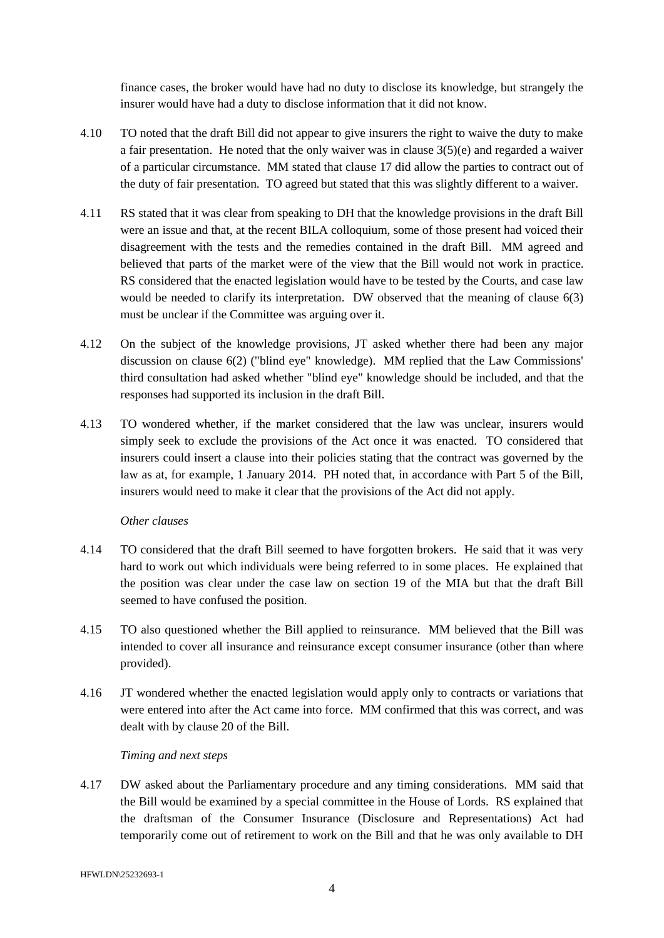finance cases, the broker would have had no duty to disclose its knowledge, but strangely the insurer would have had a duty to disclose information that it did not know.

- 4.10 TO noted that the draft Bill did not appear to give insurers the right to waive the duty to make a fair presentation. He noted that the only waiver was in clause 3(5)(e) and regarded a waiver of a particular circumstance. MM stated that clause 17 did allow the parties to contract out of the duty of fair presentation. TO agreed but stated that this was slightly different to a waiver.
- 4.11 RS stated that it was clear from speaking to DH that the knowledge provisions in the draft Bill were an issue and that, at the recent BILA colloquium, some of those present had voiced their disagreement with the tests and the remedies contained in the draft Bill. MM agreed and believed that parts of the market were of the view that the Bill would not work in practice. RS considered that the enacted legislation would have to be tested by the Courts, and case law would be needed to clarify its interpretation. DW observed that the meaning of clause 6(3) must be unclear if the Committee was arguing over it.
- 4.12 On the subject of the knowledge provisions, JT asked whether there had been any major discussion on clause 6(2) ("blind eye" knowledge). MM replied that the Law Commissions' third consultation had asked whether "blind eye" knowledge should be included, and that the responses had supported its inclusion in the draft Bill.
- 4.13 TO wondered whether, if the market considered that the law was unclear, insurers would simply seek to exclude the provisions of the Act once it was enacted. TO considered that insurers could insert a clause into their policies stating that the contract was governed by the law as at, for example, 1 January 2014. PH noted that, in accordance with Part 5 of the Bill, insurers would need to make it clear that the provisions of the Act did not apply.

# *Other clauses*

- 4.14 TO considered that the draft Bill seemed to have forgotten brokers. He said that it was very hard to work out which individuals were being referred to in some places. He explained that the position was clear under the case law on section 19 of the MIA but that the draft Bill seemed to have confused the position.
- 4.15 TO also questioned whether the Bill applied to reinsurance. MM believed that the Bill was intended to cover all insurance and reinsurance except consumer insurance (other than where provided).
- 4.16 JT wondered whether the enacted legislation would apply only to contracts or variations that were entered into after the Act came into force. MM confirmed that this was correct, and was dealt with by clause 20 of the Bill.

# *Timing and next steps*

4.17 DW asked about the Parliamentary procedure and any timing considerations. MM said that the Bill would be examined by a special committee in the House of Lords. RS explained that the draftsman of the Consumer Insurance (Disclosure and Representations) Act had temporarily come out of retirement to work on the Bill and that he was only available to DH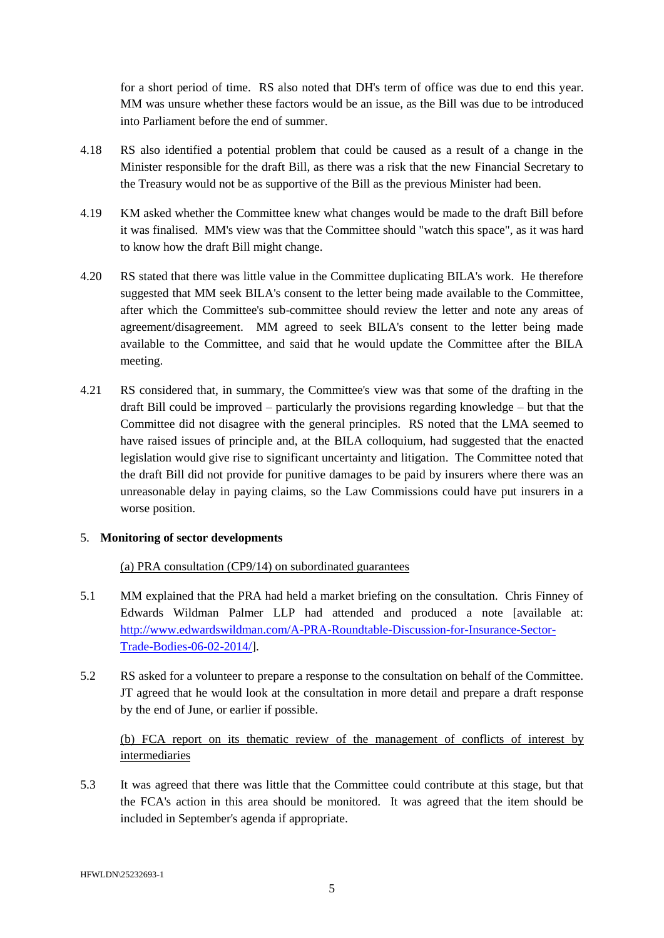for a short period of time. RS also noted that DH's term of office was due to end this year. MM was unsure whether these factors would be an issue, as the Bill was due to be introduced into Parliament before the end of summer.

- 4.18 RS also identified a potential problem that could be caused as a result of a change in the Minister responsible for the draft Bill, as there was a risk that the new Financial Secretary to the Treasury would not be as supportive of the Bill as the previous Minister had been.
- 4.19 KM asked whether the Committee knew what changes would be made to the draft Bill before it was finalised. MM's view was that the Committee should "watch this space", as it was hard to know how the draft Bill might change.
- 4.20 RS stated that there was little value in the Committee duplicating BILA's work. He therefore suggested that MM seek BILA's consent to the letter being made available to the Committee, after which the Committee's sub-committee should review the letter and note any areas of agreement/disagreement. MM agreed to seek BILA's consent to the letter being made available to the Committee, and said that he would update the Committee after the BILA meeting.
- 4.21 RS considered that, in summary, the Committee's view was that some of the drafting in the draft Bill could be improved – particularly the provisions regarding knowledge – but that the Committee did not disagree with the general principles. RS noted that the LMA seemed to have raised issues of principle and, at the BILA colloquium, had suggested that the enacted legislation would give rise to significant uncertainty and litigation. The Committee noted that the draft Bill did not provide for punitive damages to be paid by insurers where there was an unreasonable delay in paying claims, so the Law Commissions could have put insurers in a worse position.

# 5. **Monitoring of sector developments**

## (a) PRA consultation (CP9/14) on subordinated guarantees

- 5.1 MM explained that the PRA had held a market briefing on the consultation. Chris Finney of Edwards Wildman Palmer LLP had attended and produced a note [available at: [http://www.edwardswildman.com/A-PRA-Roundtable-Discussion-for-Insurance-Sector-](http://www.edwardswildman.com/A-PRA-Roundtable-Discussion-for-Insurance-Sector-Trade-Bodies-06-02-2014/)[Trade-Bodies-06-02-2014/\]](http://www.edwardswildman.com/A-PRA-Roundtable-Discussion-for-Insurance-Sector-Trade-Bodies-06-02-2014/).
- 5.2 RS asked for a volunteer to prepare a response to the consultation on behalf of the Committee. JT agreed that he would look at the consultation in more detail and prepare a draft response by the end of June, or earlier if possible.

# (b) FCA report on its thematic review of the management of conflicts of interest by intermediaries

5.3 It was agreed that there was little that the Committee could contribute at this stage, but that the FCA's action in this area should be monitored. It was agreed that the item should be included in September's agenda if appropriate.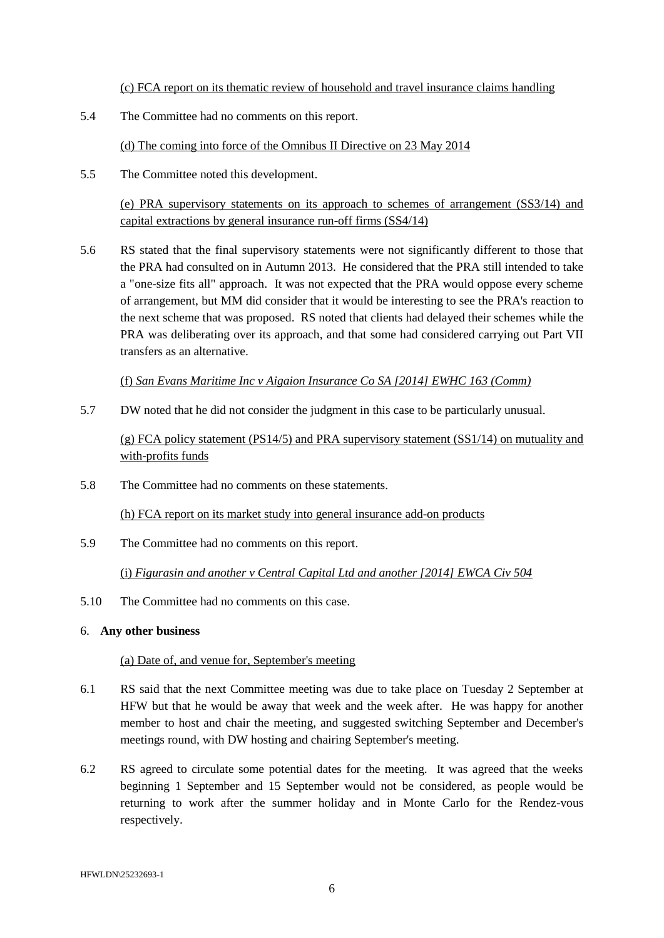(c) FCA report on its thematic review of household and travel insurance claims handling

5.4 The Committee had no comments on this report.

(d) The coming into force of the Omnibus II Directive on 23 May 2014

5.5 The Committee noted this development.

(e) PRA supervisory statements on its approach to schemes of arrangement (SS3/14) and capital extractions by general insurance run-off firms (SS4/14)

5.6 RS stated that the final supervisory statements were not significantly different to those that the PRA had consulted on in Autumn 2013. He considered that the PRA still intended to take a "one-size fits all" approach. It was not expected that the PRA would oppose every scheme of arrangement, but MM did consider that it would be interesting to see the PRA's reaction to the next scheme that was proposed. RS noted that clients had delayed their schemes while the PRA was deliberating over its approach, and that some had considered carrying out Part VII transfers as an alternative.

(f) *San Evans Maritime Inc v Aigaion Insurance Co SA [2014] EWHC 163 (Comm)*

5.7 DW noted that he did not consider the judgment in this case to be particularly unusual.

(g) FCA policy statement (PS14/5) and PRA supervisory statement (SS1/14) on mutuality and with-profits funds

5.8 The Committee had no comments on these statements.

(h) FCA report on its market study into general insurance add-on products

5.9 The Committee had no comments on this report.

(i) *Figurasin and another v Central Capital Ltd and another [2014] EWCA Civ 504*

5.10 The Committee had no comments on this case.

## 6. **Any other business**

## (a) Date of, and venue for, September's meeting

- 6.1 RS said that the next Committee meeting was due to take place on Tuesday 2 September at HFW but that he would be away that week and the week after. He was happy for another member to host and chair the meeting, and suggested switching September and December's meetings round, with DW hosting and chairing September's meeting.
- 6.2 RS agreed to circulate some potential dates for the meeting. It was agreed that the weeks beginning 1 September and 15 September would not be considered, as people would be returning to work after the summer holiday and in Monte Carlo for the Rendez-vous respectively.